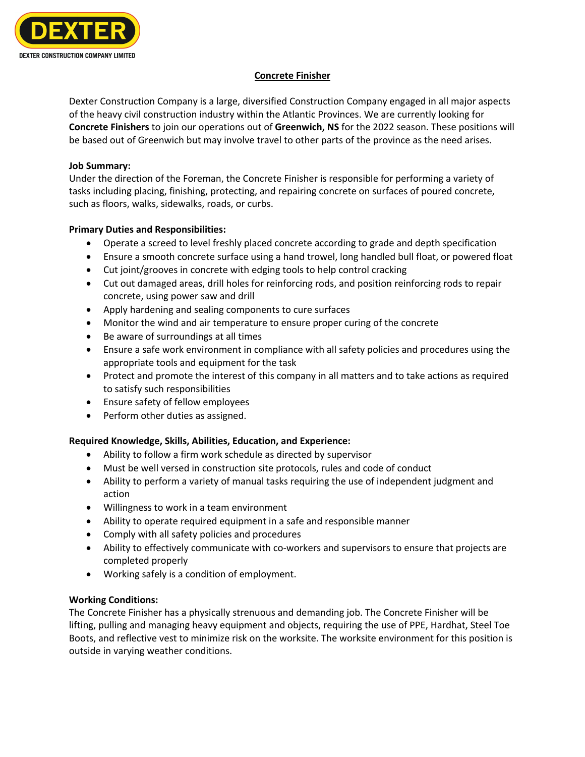

# **Concrete Finisher**

Dexter Construction Company is a large, diversified Construction Company engaged in all major aspects of the heavy civil construction industry within the Atlantic Provinces. We are currently looking for **Concrete Finishers** to join our operations out of **Greenwich, NS** for the 2022 season. These positions will be based out of Greenwich but may involve travel to other parts of the province as the need arises.

## **Job Summary:**

Under the direction of the Foreman, the Concrete Finisher is responsible for performing a variety of tasks including placing, finishing, protecting, and repairing concrete on surfaces of poured concrete, such as floors, walks, sidewalks, roads, or curbs.

## **Primary Duties and Responsibilities:**

- Operate a screed to level freshly placed concrete according to grade and depth specification
- Ensure a smooth concrete surface using a hand trowel, long handled bull float, or powered float
- Cut joint/grooves in concrete with edging tools to help control cracking
- Cut out damaged areas, drill holes for reinforcing rods, and position reinforcing rods to repair concrete, using power saw and drill
- Apply hardening and sealing components to cure surfaces
- Monitor the wind and air temperature to ensure proper curing of the concrete
- Be aware of surroundings at all times
- Ensure a safe work environment in compliance with all safety policies and procedures using the appropriate tools and equipment for the task
- Protect and promote the interest of this company in all matters and to take actions as required to satisfy such responsibilities
- Ensure safety of fellow employees
- Perform other duties as assigned.

## **Required Knowledge, Skills, Abilities, Education, and Experience:**

- Ability to follow a firm work schedule as directed by supervisor
- Must be well versed in construction site protocols, rules and code of conduct
- Ability to perform a variety of manual tasks requiring the use of independent judgment and action
- Willingness to work in a team environment
- Ability to operate required equipment in a safe and responsible manner
- Comply with all safety policies and procedures
- Ability to effectively communicate with co-workers and supervisors to ensure that projects are completed properly
- Working safely is a condition of employment.

## **Working Conditions:**

The Concrete Finisher has a physically strenuous and demanding job. The Concrete Finisher will be lifting, pulling and managing heavy equipment and objects, requiring the use of PPE, Hardhat, Steel Toe Boots, and reflective vest to minimize risk on the worksite. The worksite environment for this position is outside in varying weather conditions.